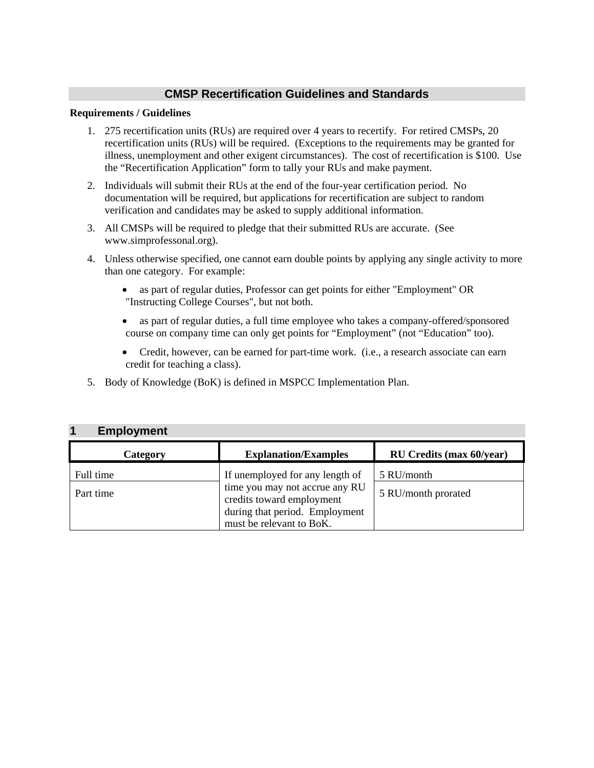#### **CMSP Recertification Guidelines and Standards**

#### **Requirements / Guidelines**

- 1. 275 recertification units (RUs) are required over 4 years to recertify. For retired CMSPs, 20 recertification units (RUs) will be required. (Exceptions to the requirements may be granted for illness, unemployment and other exigent circumstances). The cost of recertification is \$100. Use the "Recertification Application" form to tally your RUs and make payment.
- 2. Individuals will submit their RUs at the end of the four-year certification period. No documentation will be required, but applications for recertification are subject to random verification and candidates may be asked to supply additional information.
- 3. All CMSPs will be required to pledge that their submitted RUs are accurate. (See www.simprofessonal.org).
- 4. Unless otherwise specified, one cannot earn double points by applying any single activity to more than one category. For example:
	- as part of regular duties, Professor can get points for either "Employment" OR "Instructing College Courses", but not both.
	- as part of regular duties, a full time employee who takes a company-offered/sponsored course on company time can only get points for "Employment" (not "Education" too).
	- Credit, however, can be earned for part-time work. (i.e., a research associate can earn credit for teaching a class).
- 5. Body of Knowledge (BoK) is defined in MSPCC Implementation Plan.

| <b>Employment</b> |                                                             |                                 |
|-------------------|-------------------------------------------------------------|---------------------------------|
| Category          | <b>Explanation/Examples</b>                                 | <b>RU Credits (max 60/year)</b> |
| Full time         | If unemployed for any length of                             | 5 RU/month                      |
| Part time         | time you may not accrue any RU<br>credits toward employment | 5 RU/month prorated             |
|                   | during that period. Employment<br>must be relevant to BoK.  |                                 |

#### **1 Employment**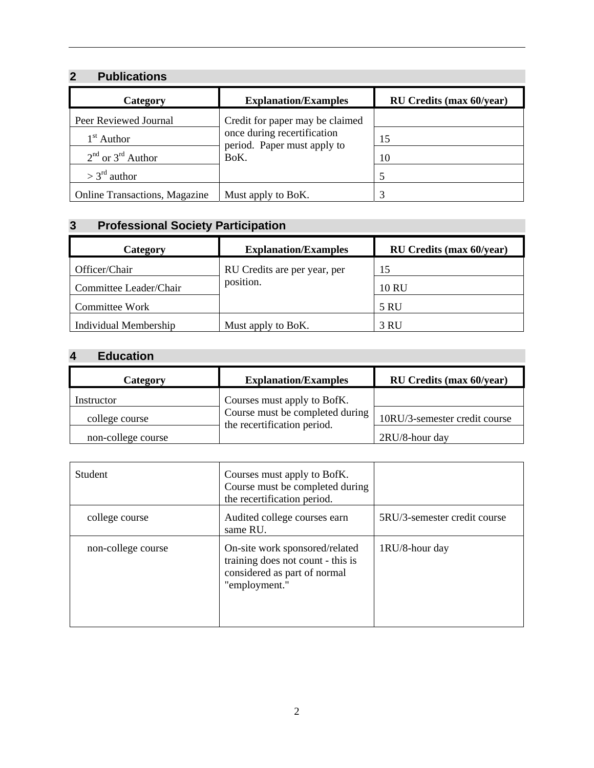### **2 Publications**

| Category                             | <b>Explanation/Examples</b>         | <b>RU Credits (max 60/year)</b> |
|--------------------------------------|-------------------------------------|---------------------------------|
| Peer Reviewed Journal                | Credit for paper may be claimed     |                                 |
| $1st$ Author                         | once during recertification         | 15                              |
| $2nd$ or $3rd$ Author                | period. Paper must apply to<br>BoK. | 10                              |
| $> 3rd$ author                       |                                     | 5                               |
| <b>Online Transactions, Magazine</b> | Must apply to BoK.                  |                                 |

# **3 Professional Society Participation**

| Category               | <b>Explanation/Examples</b>  | <b>RU Credits (max 60/year)</b> |
|------------------------|------------------------------|---------------------------------|
| Officer/Chair          | RU Credits are per year, per | 15                              |
| Committee Leader/Chair | position.                    | 10 RU                           |
| Committee Work         |                              | <b>5 RU</b>                     |
| Individual Membership  | Must apply to BoK.           | 3 RU                            |

# **4 Education**

| Category           | <b>Explanation/Examples</b>                                    | RU Credits (max 60/year)      |
|--------------------|----------------------------------------------------------------|-------------------------------|
| Instructor         | Courses must apply to BofK.                                    |                               |
| college course     | Course must be completed during<br>the recertification period. | 10RU/3-semester credit course |
| non-college course |                                                                | 2RU/8-hour day                |

| Student            | Courses must apply to BofK.<br>Course must be completed during<br>the recertification period.                        |                              |
|--------------------|----------------------------------------------------------------------------------------------------------------------|------------------------------|
| college course     | Audited college courses earn<br>same RU.                                                                             | 5RU/3-semester credit course |
| non-college course | On-site work sponsored/related<br>training does not count - this is<br>considered as part of normal<br>"employment." | 1RU/8-hour day               |